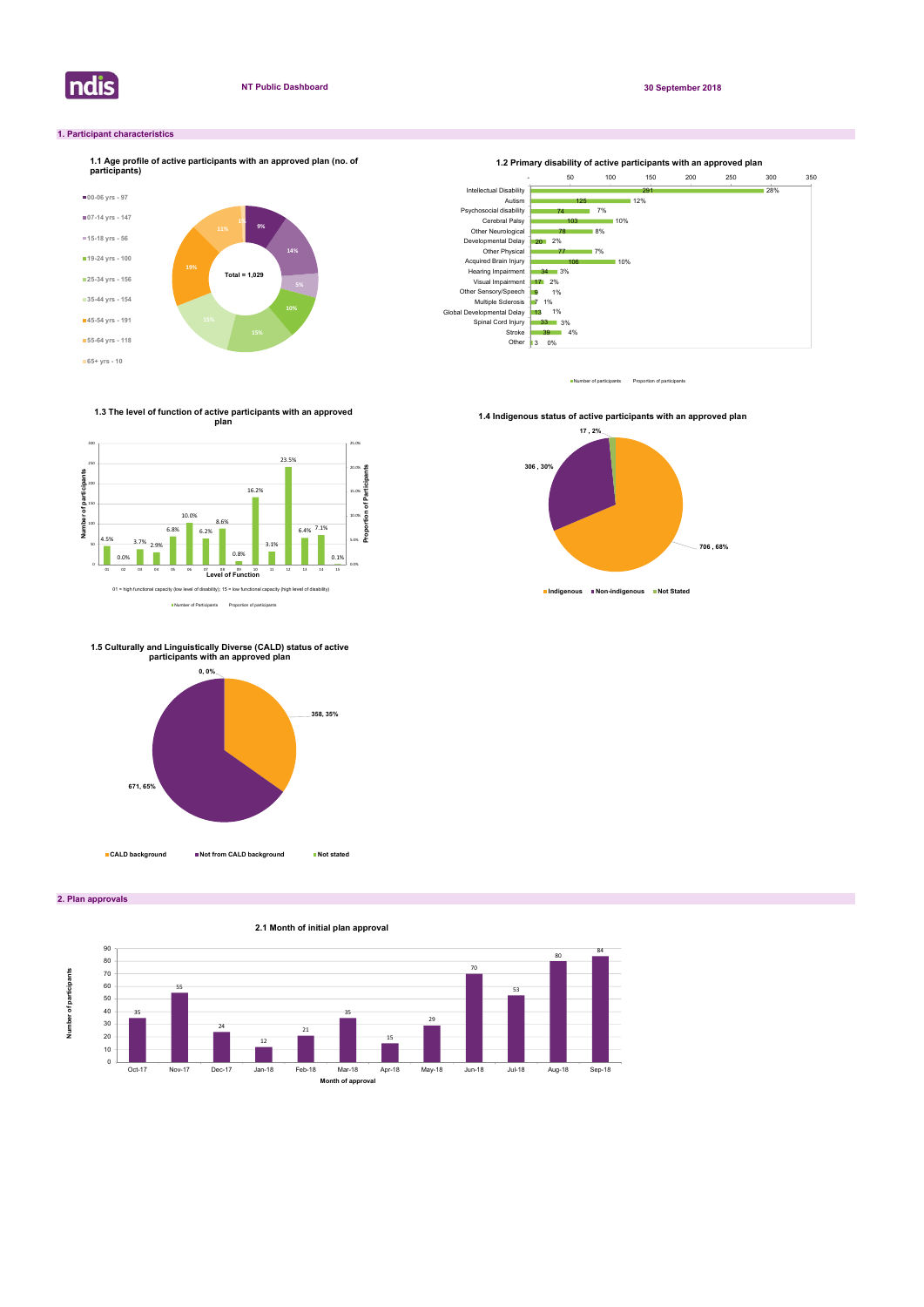ndis

2. Plan approvals

## 1. Participant characteristics







1.3 The level of function of active participants with an approved plan and the contract of the contract of the contract of the contract of the contract of the contract of the contract of the contract of the contract of the contract of the contract of the contract of the contract of the c





1.4 Indigenous status of active participants with an approved plan



1.5 Culturally and Linguistically Diverse (CALD) status of active participants with an approved plan